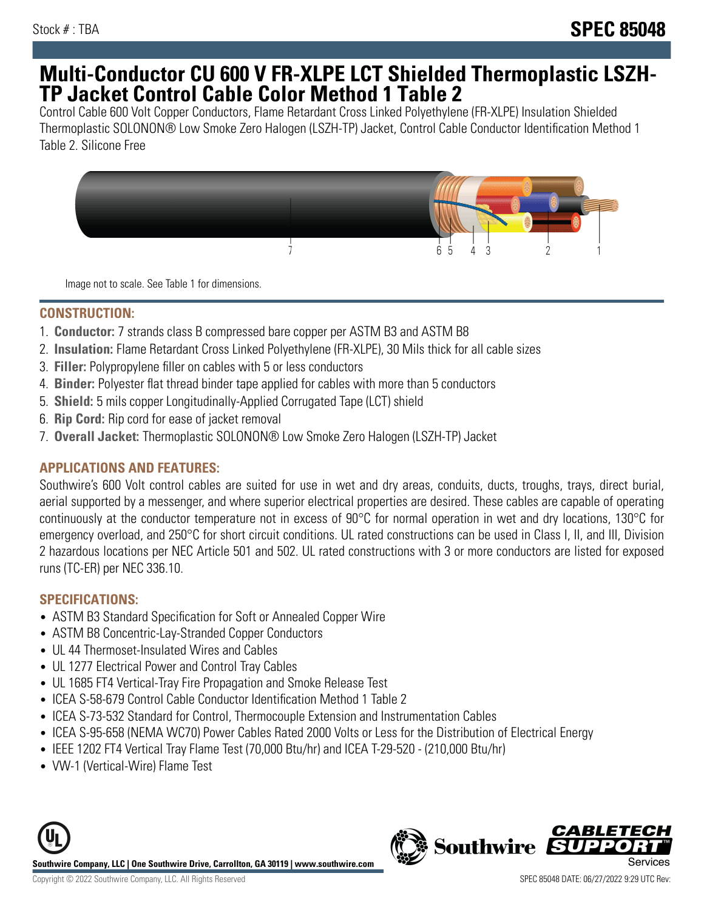# **Multi-Conductor CU 600 V FR-XLPE LCT Shielded Thermoplastic LSZH-TP Jacket Control Cable Color Method 1 Table 2**

Control Cable 600 Volt Copper Conductors, Flame Retardant Cross Linked Polyethylene (FR-XLPE) Insulation Shielded Thermoplastic SOLONON® Low Smoke Zero Halogen (LSZH-TP) Jacket, Control Cable Conductor Identification Method 1 Table 2. Silicone Free



Image not to scale. See Table 1 for dimensions.

### **CONSTRUCTION:**

- 1. **Conductor:** 7 strands class B compressed bare copper per ASTM B3 and ASTM B8
- 2. **Insulation:** Flame Retardant Cross Linked Polyethylene (FR-XLPE), 30 Mils thick for all cable sizes
- 3. **Filler:** Polypropylene filler on cables with 5 or less conductors
- 4. **Binder:** Polyester flat thread binder tape applied for cables with more than 5 conductors
- 5. **Shield:** 5 mils copper Longitudinally-Applied Corrugated Tape (LCT) shield
- 6. **Rip Cord:** Rip cord for ease of jacket removal
- 7. **Overall Jacket:** Thermoplastic SOLONON® Low Smoke Zero Halogen (LSZH-TP) Jacket

# **APPLICATIONS AND FEATURES:**

Southwire's 600 Volt control cables are suited for use in wet and dry areas, conduits, ducts, troughs, trays, direct burial, aerial supported by a messenger, and where superior electrical properties are desired. These cables are capable of operating continuously at the conductor temperature not in excess of 90°C for normal operation in wet and dry locations, 130°C for emergency overload, and 250°C for short circuit conditions. UL rated constructions can be used in Class I, II, and III, Division 2 hazardous locations per NEC Article 501 and 502. UL rated constructions with 3 or more conductors are listed for exposed runs (TC-ER) per NEC 336.10.

# **SPECIFICATIONS:**

- ASTM B3 Standard Specification for Soft or Annealed Copper Wire
- ASTM B8 Concentric-Lay-Stranded Copper Conductors
- UL 44 Thermoset-Insulated Wires and Cables
- UL 1277 Electrical Power and Control Tray Cables
- UL 1685 FT4 Vertical-Tray Fire Propagation and Smoke Release Test
- ICEA S-58-679 Control Cable Conductor Identification Method 1 Table 2
- ICEA S-73-532 Standard for Control, Thermocouple Extension and Instrumentation Cables
- ICEA S-95-658 (NEMA WC70) Power Cables Rated 2000 Volts or Less for the Distribution of Electrical Energy
- IEEE 1202 FT4 Vertical Tray Flame Test (70,000 Btu/hr) and ICEA T-29-520 (210,000 Btu/hr)
- VW-1 (Vertical-Wire) Flame Test



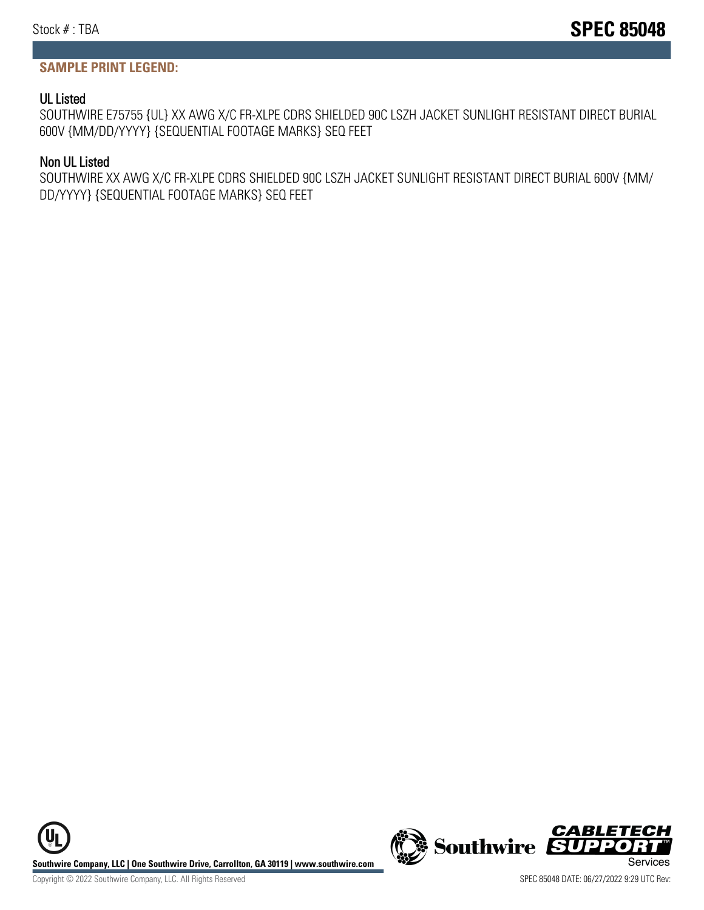#### **SAMPLE PRINT LEGEND:**

#### UL Listed

SOUTHWIRE E75755 {UL} XX AWG X/C FR-XLPE CDRS SHIELDED 90C LSZH JACKET SUNLIGHT RESISTANT DIRECT BURIAL 600V {MM/DD/YYYY} {SEQUENTIAL FOOTAGE MARKS} SEQ FEET

#### Non UL Listed

SOUTHWIRE XX AWG X/C FR-XLPE CDRS SHIELDED 90C LSZH JACKET SUNLIGHT RESISTANT DIRECT BURIAL 600V {MM/ DD/YYYY} {SEQUENTIAL FOOTAGE MARKS} SEQ FEET



Copyright © 2022 Southwire Company, LLC. All Rights Reserved SPEC 85048 DATE: 06/27/2022 9:29 UTC Rev: